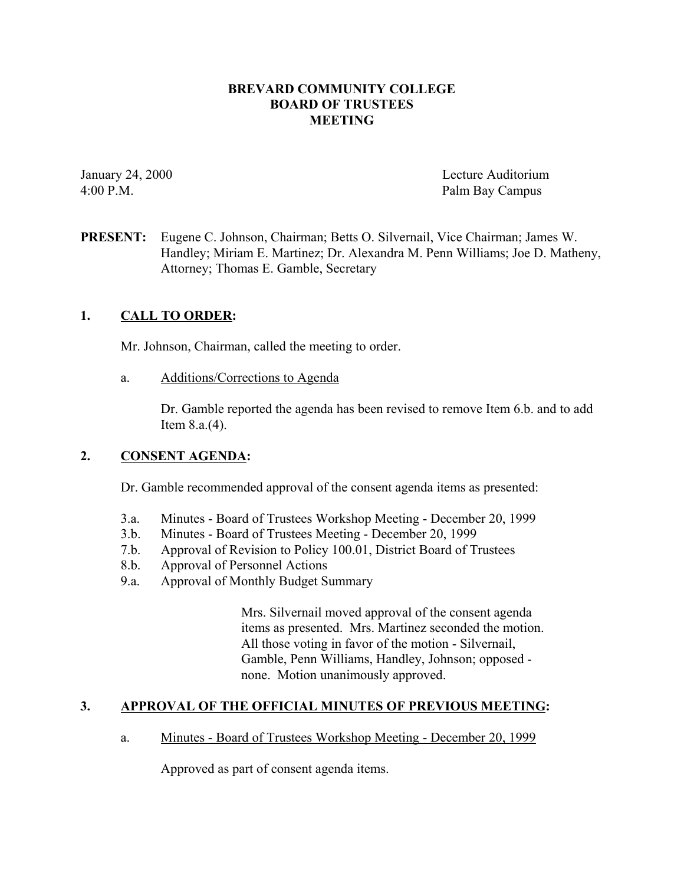### **BREVARD COMMUNITY COLLEGE BOARD OF TRUSTEES MEETING**

January 24, 2000 Lecture Auditorium 4:00 P.M. Palm Bay Campus

**PRESENT:** Eugene C. Johnson, Chairman; Betts O. Silvernail, Vice Chairman; James W. Handley; Miriam E. Martinez; Dr. Alexandra M. Penn Williams; Joe D. Matheny, Attorney; Thomas E. Gamble, Secretary

### **1. CALL TO ORDER:**

Mr. Johnson, Chairman, called the meeting to order.

a. Additions/Corrections to Agenda

Dr. Gamble reported the agenda has been revised to remove Item 6.b. and to add Item 8.a.(4).

#### **2. CONSENT AGENDA:**

Dr. Gamble recommended approval of the consent agenda items as presented:

- 3.a. Minutes Board of Trustees Workshop Meeting December 20, 1999
- 3.b. Minutes Board of Trustees Meeting December 20, 1999
- 7.b. Approval of Revision to Policy 100.01, District Board of Trustees
- 8.b. Approval of Personnel Actions
- 9.a. Approval of Monthly Budget Summary

Mrs. Silvernail moved approval of the consent agenda items as presented. Mrs. Martinez seconded the motion. All those voting in favor of the motion - Silvernail, Gamble, Penn Williams, Handley, Johnson; opposed none. Motion unanimously approved.

#### **3. APPROVAL OF THE OFFICIAL MINUTES OF PREVIOUS MEETING:**

a. Minutes - Board of Trustees Workshop Meeting - December 20, 1999

Approved as part of consent agenda items.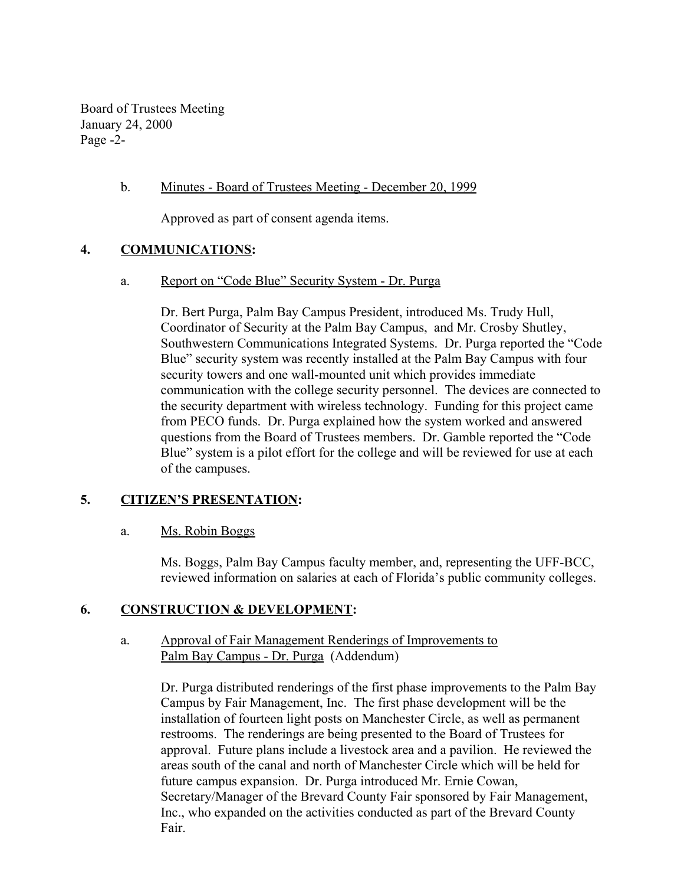Board of Trustees Meeting January 24, 2000 Page -2-

#### b. Minutes - Board of Trustees Meeting - December 20, 1999

Approved as part of consent agenda items.

## **4. COMMUNICATIONS:**

a. Report on "Code Blue" Security System - Dr. Purga

Dr. Bert Purga, Palm Bay Campus President, introduced Ms. Trudy Hull, Coordinator of Security at the Palm Bay Campus, and Mr. Crosby Shutley, Southwestern Communications Integrated Systems. Dr. Purga reported the "Code Blue" security system was recently installed at the Palm Bay Campus with four security towers and one wall-mounted unit which provides immediate communication with the college security personnel. The devices are connected to the security department with wireless technology. Funding for this project came from PECO funds. Dr. Purga explained how the system worked and answered questions from the Board of Trustees members. Dr. Gamble reported the "Code Blue" system is a pilot effort for the college and will be reviewed for use at each of the campuses.

#### **5. CITIZEN'S PRESENTATION:**

#### a. Ms. Robin Boggs

Ms. Boggs, Palm Bay Campus faculty member, and, representing the UFF-BCC, reviewed information on salaries at each of Florida's public community colleges.

#### **6. CONSTRUCTION & DEVELOPMENT:**

### a. Approval of Fair Management Renderings of Improvements to Palm Bay Campus - Dr. Purga (Addendum)

Dr. Purga distributed renderings of the first phase improvements to the Palm Bay Campus by Fair Management, Inc. The first phase development will be the installation of fourteen light posts on Manchester Circle, as well as permanent restrooms. The renderings are being presented to the Board of Trustees for approval. Future plans include a livestock area and a pavilion. He reviewed the areas south of the canal and north of Manchester Circle which will be held for future campus expansion. Dr. Purga introduced Mr. Ernie Cowan, Secretary/Manager of the Brevard County Fair sponsored by Fair Management, Inc., who expanded on the activities conducted as part of the Brevard County Fair.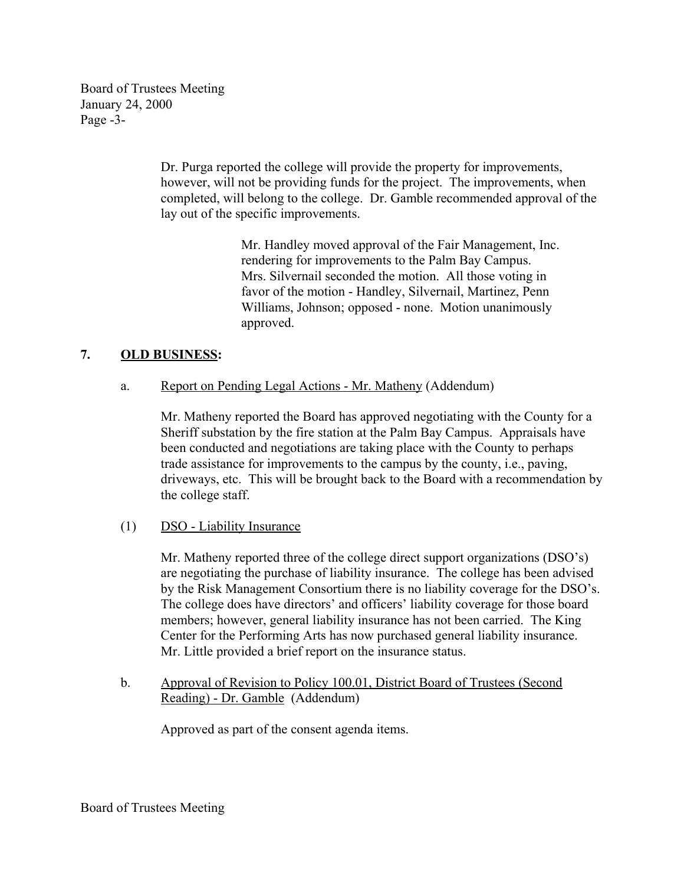Board of Trustees Meeting January 24, 2000 Page -3-

> Dr. Purga reported the college will provide the property for improvements, however, will not be providing funds for the project. The improvements, when completed, will belong to the college. Dr. Gamble recommended approval of the lay out of the specific improvements.

> > Mr. Handley moved approval of the Fair Management, Inc. rendering for improvements to the Palm Bay Campus. Mrs. Silvernail seconded the motion. All those voting in favor of the motion - Handley, Silvernail, Martinez, Penn Williams, Johnson; opposed - none. Motion unanimously approved.

# **7. OLD BUSINESS:**

a. Report on Pending Legal Actions - Mr. Matheny (Addendum)

Mr. Matheny reported the Board has approved negotiating with the County for a Sheriff substation by the fire station at the Palm Bay Campus. Appraisals have been conducted and negotiations are taking place with the County to perhaps trade assistance for improvements to the campus by the county, i.e., paving, driveways, etc. This will be brought back to the Board with a recommendation by the college staff.

(1) DSO - Liability Insurance

Mr. Matheny reported three of the college direct support organizations (DSO's) are negotiating the purchase of liability insurance. The college has been advised by the Risk Management Consortium there is no liability coverage for the DSO's. The college does have directors' and officers' liability coverage for those board members; however, general liability insurance has not been carried. The King Center for the Performing Arts has now purchased general liability insurance. Mr. Little provided a brief report on the insurance status.

b. Approval of Revision to Policy 100.01, District Board of Trustees (Second Reading) - Dr. Gamble (Addendum)

Approved as part of the consent agenda items.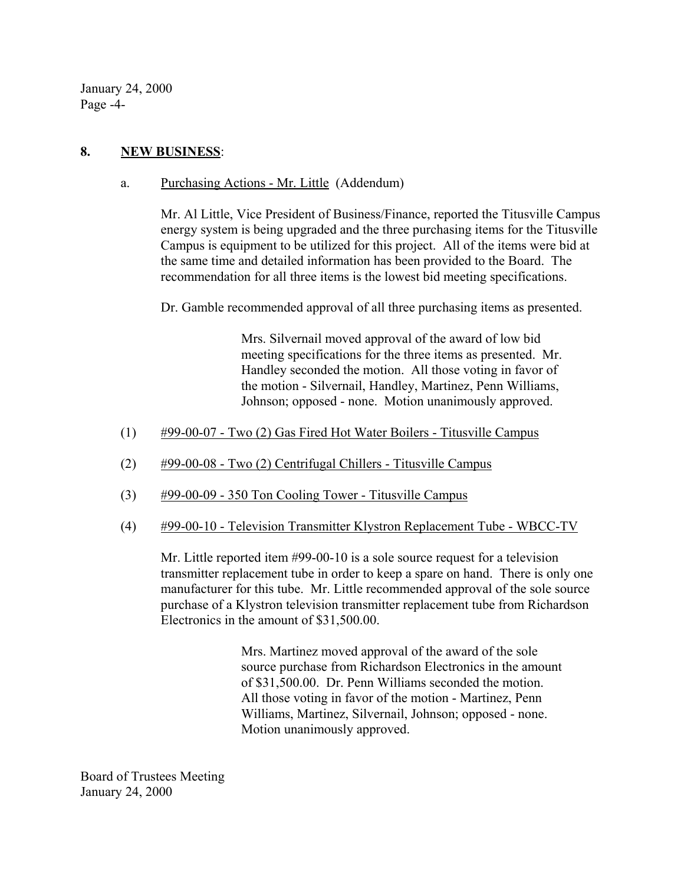January 24, 2000 Page -4-

### **8. NEW BUSINESS**:

a. Purchasing Actions - Mr. Little (Addendum)

Mr. Al Little, Vice President of Business/Finance, reported the Titusville Campus energy system is being upgraded and the three purchasing items for the Titusville Campus is equipment to be utilized for this project. All of the items were bid at the same time and detailed information has been provided to the Board. The recommendation for all three items is the lowest bid meeting specifications.

Dr. Gamble recommended approval of all three purchasing items as presented.

Mrs. Silvernail moved approval of the award of low bid meeting specifications for the three items as presented. Mr. Handley seconded the motion. All those voting in favor of the motion - Silvernail, Handley, Martinez, Penn Williams, Johnson; opposed - none. Motion unanimously approved.

- (1) #99-00-07 Two (2) Gas Fired Hot Water Boilers Titusville Campus
- (2)  $\#99-00-08$  Two (2) Centrifugal Chillers Titusville Campus
- (3) #99-00-09 350 Ton Cooling Tower Titusville Campus
- (4) #99-00-10 Television Transmitter Klystron Replacement Tube WBCC-TV

Mr. Little reported item #99-00-10 is a sole source request for a television transmitter replacement tube in order to keep a spare on hand. There is only one manufacturer for this tube. Mr. Little recommended approval of the sole source purchase of a Klystron television transmitter replacement tube from Richardson Electronics in the amount of \$31,500.00.

> Mrs. Martinez moved approval of the award of the sole source purchase from Richardson Electronics in the amount of \$31,500.00. Dr. Penn Williams seconded the motion. All those voting in favor of the motion - Martinez, Penn Williams, Martinez, Silvernail, Johnson; opposed - none. Motion unanimously approved.

Board of Trustees Meeting January 24, 2000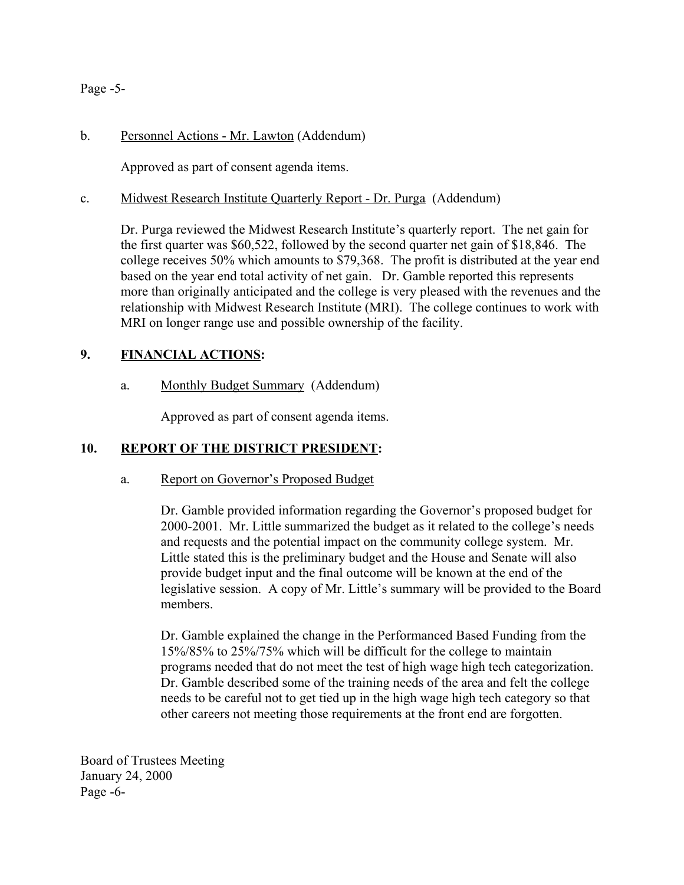Page -5-

## b. Personnel Actions - Mr. Lawton (Addendum)

Approved as part of consent agenda items.

### c. Midwest Research Institute Quarterly Report - Dr. Purga (Addendum)

Dr. Purga reviewed the Midwest Research Institute's quarterly report. The net gain for the first quarter was \$60,522, followed by the second quarter net gain of \$18,846. The college receives 50% which amounts to \$79,368. The profit is distributed at the year end based on the year end total activity of net gain. Dr. Gamble reported this represents more than originally anticipated and the college is very pleased with the revenues and the relationship with Midwest Research Institute (MRI). The college continues to work with MRI on longer range use and possible ownership of the facility.

## **9. FINANCIAL ACTIONS:**

a. Monthly Budget Summary (Addendum)

Approved as part of consent agenda items.

## **10. REPORT OF THE DISTRICT PRESIDENT:**

#### a. Report on Governor's Proposed Budget

Dr. Gamble provided information regarding the Governor's proposed budget for 2000-2001. Mr. Little summarized the budget as it related to the college's needs and requests and the potential impact on the community college system. Mr. Little stated this is the preliminary budget and the House and Senate will also provide budget input and the final outcome will be known at the end of the legislative session. A copy of Mr. Little's summary will be provided to the Board members.

Dr. Gamble explained the change in the Performanced Based Funding from the 15%/85% to 25%/75% which will be difficult for the college to maintain programs needed that do not meet the test of high wage high tech categorization. Dr. Gamble described some of the training needs of the area and felt the college needs to be careful not to get tied up in the high wage high tech category so that other careers not meeting those requirements at the front end are forgotten.

Board of Trustees Meeting January 24, 2000 Page -6-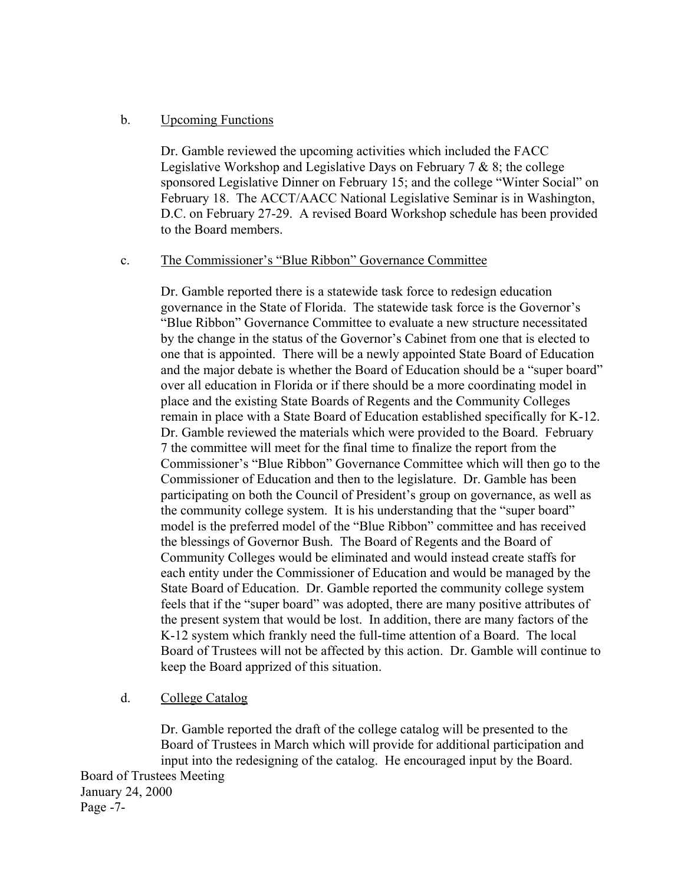### b. Upcoming Functions

Dr. Gamble reviewed the upcoming activities which included the FACC Legislative Workshop and Legislative Days on February  $7 \& 8$ ; the college sponsored Legislative Dinner on February 15; and the college "Winter Social" on February 18. The ACCT/AACC National Legislative Seminar is in Washington, D.C. on February 27-29. A revised Board Workshop schedule has been provided to the Board members.

#### c. The Commissioner's "Blue Ribbon" Governance Committee

Dr. Gamble reported there is a statewide task force to redesign education governance in the State of Florida. The statewide task force is the Governor's "Blue Ribbon" Governance Committee to evaluate a new structure necessitated by the change in the status of the Governor's Cabinet from one that is elected to one that is appointed. There will be a newly appointed State Board of Education and the major debate is whether the Board of Education should be a "super board" over all education in Florida or if there should be a more coordinating model in place and the existing State Boards of Regents and the Community Colleges remain in place with a State Board of Education established specifically for K-12. Dr. Gamble reviewed the materials which were provided to the Board. February 7 the committee will meet for the final time to finalize the report from the Commissioner's "Blue Ribbon" Governance Committee which will then go to the Commissioner of Education and then to the legislature. Dr. Gamble has been participating on both the Council of President's group on governance, as well as the community college system. It is his understanding that the "super board" model is the preferred model of the "Blue Ribbon" committee and has received the blessings of Governor Bush. The Board of Regents and the Board of Community Colleges would be eliminated and would instead create staffs for each entity under the Commissioner of Education and would be managed by the State Board of Education. Dr. Gamble reported the community college system feels that if the "super board" was adopted, there are many positive attributes of the present system that would be lost. In addition, there are many factors of the K-12 system which frankly need the full-time attention of a Board. The local Board of Trustees will not be affected by this action. Dr. Gamble will continue to keep the Board apprized of this situation.

## d. College Catalog

Dr. Gamble reported the draft of the college catalog will be presented to the Board of Trustees in March which will provide for additional participation and input into the redesigning of the catalog. He encouraged input by the Board. Board of Trustees Meeting January 24, 2000 Page -7-